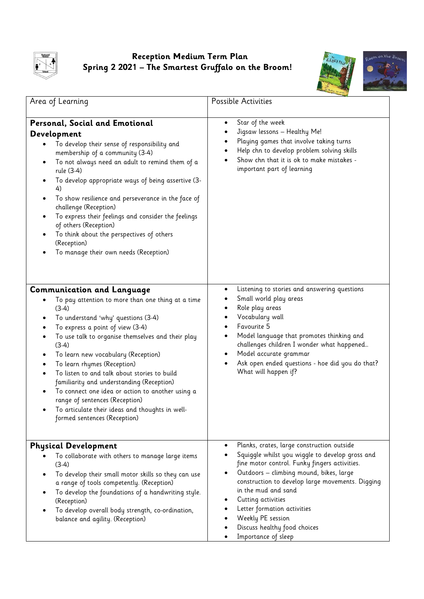

## **Reception Medium Term Plan Spring 2 2021 – The Smartest Gruffalo on the Broom!**



| Area of Learning                                                                                                                                                                                                                                                                                                                                                                                                                                                                                                                                                                         | Possible Activities                                                                                                                                                                                                                                                                                                                                                                                                |
|------------------------------------------------------------------------------------------------------------------------------------------------------------------------------------------------------------------------------------------------------------------------------------------------------------------------------------------------------------------------------------------------------------------------------------------------------------------------------------------------------------------------------------------------------------------------------------------|--------------------------------------------------------------------------------------------------------------------------------------------------------------------------------------------------------------------------------------------------------------------------------------------------------------------------------------------------------------------------------------------------------------------|
| Personal, Social and Emotional<br>Development<br>To develop their sense of responsibility and<br>membership of a community (3-4)<br>To not always need an adult to remind them of a<br>$\bullet$<br>rule (3-4)<br>To develop appropriate ways of being assertive (3-<br>4)<br>To show resilience and perseverance in the face of<br>$\bullet$<br>challenge (Reception)<br>To express their feelings and consider the feelings<br>of others (Reception)<br>To think about the perspectives of others<br>(Reception)<br>To manage their own needs (Reception)                              | Star of the week<br>$\bullet$<br>Jigsaw lessons - Healthy Me!<br>Playing games that involve taking turns<br>Help chn to develop problem solving skills<br>Show chn that it is ok to make mistakes -<br>important part of learning                                                                                                                                                                                  |
| <b>Communication and Language</b><br>To pay attention to more than one thing at a time<br>$(3-4)$<br>To understand 'why' questions (3-4)<br>To express a point of view (3-4)<br>To use talk to organise themselves and their play<br>$(3-4)$<br>To learn new vocabulary (Reception)<br>To learn rhymes (Reception)<br>To listen to and talk about stories to build<br>familiarity and understanding (Reception)<br>To connect one idea or action to another using a<br>range of sentences (Reception)<br>To articulate their ideas and thoughts in well-<br>formed sentences (Reception) | Listening to stories and answering questions<br>٠<br>Small world play areas<br>Role play areas<br>Vocabulary wall<br>Favourite 5<br>Model language that promotes thinking and<br>challenges children I wonder what happened<br>Model accurate grammar<br>Ask open ended questions - hoe did you do that?<br>What will happen if?                                                                                   |
| <b>Physical Development</b><br>To collaborate with others to manage large items<br>$(3-4)$<br>To develop their small motor skills so they can use<br>a range of tools competently. (Reception)<br>To develop the foundations of a handwriting style.<br>(Reception)<br>To develop overall body strength, co-ordination,<br>balance and agility. (Reception)                                                                                                                                                                                                                              | Planks, crates, large construction outside<br>$\bullet$<br>Squiggle whilst you wiggle to develop gross and<br>fine motor control. Funky fingers activities.<br>Outdoors - climbing mound, bikes, large<br>construction to develop large movements. Digging<br>in the mud and sand<br>Cutting activities<br>Letter formation activities<br>Weekly PE session<br>Discuss healthy food choices<br>Importance of sleep |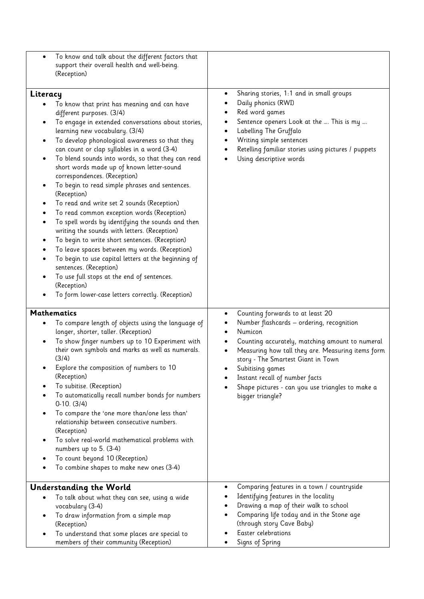| To know and talk about the different factors that<br>$\bullet$<br>support their overall health and well-being.<br>(Reception)                                                                                                                                                                                                                                                                                                                                                                                                                                                                                                                                                                                                                                                                                                                                                                                                                                                                                                    |                                                                                                                                                                                                                                                                                                                                                                                                     |
|----------------------------------------------------------------------------------------------------------------------------------------------------------------------------------------------------------------------------------------------------------------------------------------------------------------------------------------------------------------------------------------------------------------------------------------------------------------------------------------------------------------------------------------------------------------------------------------------------------------------------------------------------------------------------------------------------------------------------------------------------------------------------------------------------------------------------------------------------------------------------------------------------------------------------------------------------------------------------------------------------------------------------------|-----------------------------------------------------------------------------------------------------------------------------------------------------------------------------------------------------------------------------------------------------------------------------------------------------------------------------------------------------------------------------------------------------|
| Literacy<br>To know that print has meaning and can have<br>different purposes. (3/4)<br>To engage in extended conversations about stories,<br>learning new vocabulary. (3/4)<br>To develop phonological awareness so that they<br>٠<br>can count or clap syllables in a word (3-4)<br>To blend sounds into words, so that they can read<br>$\bullet$<br>short words made up of known letter-sound<br>correspondences. (Reception)<br>To begin to read simple phrases and sentences.<br>٠<br>(Reception)<br>To read and write set 2 sounds (Reception)<br>$\bullet$<br>To read common exception words (Reception)<br>To spell words by identifying the sounds and then<br>writing the sounds with letters. (Reception)<br>To begin to write short sentences. (Reception)<br>To leave spaces between my words. (Reception)<br>To begin to use capital letters at the beginning of<br>sentences. (Reception)<br>To use full stops at the end of sentences.<br>٠<br>(Reception)<br>To form lower-case letters correctly. (Reception) | Sharing stories, 1:1 and in small groups<br>Daily phonics (RWI)<br>Red word games<br>Sentence openers Look at the  This is my<br>Labelling The Gruffalo<br>Writing simple sentences<br>Retelling familiar stories using pictures / puppets<br>Using descriptive words                                                                                                                               |
| <b>Mathematics</b><br>To compare length of objects using the language of<br>longer, shorter, taller. (Reception)<br>To show finger numbers up to 10 Experiment with<br>$\bullet$<br>their own symbols and marks as well as numerals.<br>(3/4)<br>Explore the composition of numbers to 10<br>(Reception)<br>To subitise. (Reception)<br>To automatically recall number bonds for numbers<br>$0-10. (3/4)$<br>To compare the 'one more than/one less than'<br>$\bullet$<br>relationship between consecutive numbers.<br>(Reception)<br>To solve real-world mathematical problems with<br>$\bullet$<br>numbers up to 5. (3-4)<br>To count beyond 10 (Reception)<br>To combine shapes to make new ones (3-4)                                                                                                                                                                                                                                                                                                                        | Counting forwards to at least 20<br>٠<br>Number flashcards - ordering, recognition<br>Numicon<br>$\bullet$<br>Counting accurately, matching amount to numeral<br>Measuring how tall they are. Measuring items form<br>$\bullet$<br>story - The Smartest Giant in Town<br>Subitising games<br>Instant recall of number facts<br>Shape pictures - can you use triangles to make a<br>bigger triangle? |
| <b>Understanding the World</b><br>To talk about what they can see, using a wide<br>$\bullet$<br>vocabulary (3-4)<br>To draw information from a simple map<br>$\bullet$<br>(Reception)<br>To understand that some places are special to<br>members of their community (Reception)                                                                                                                                                                                                                                                                                                                                                                                                                                                                                                                                                                                                                                                                                                                                                 | Comparing features in a town / countryside<br>$\bullet$<br>Identifying features in the locality<br>٠<br>Drawing a map of their walk to school<br>Comparing life today and in the Stone age<br>(through story Cave Baby)<br>Easter celebrations<br>Signs of Spring                                                                                                                                   |